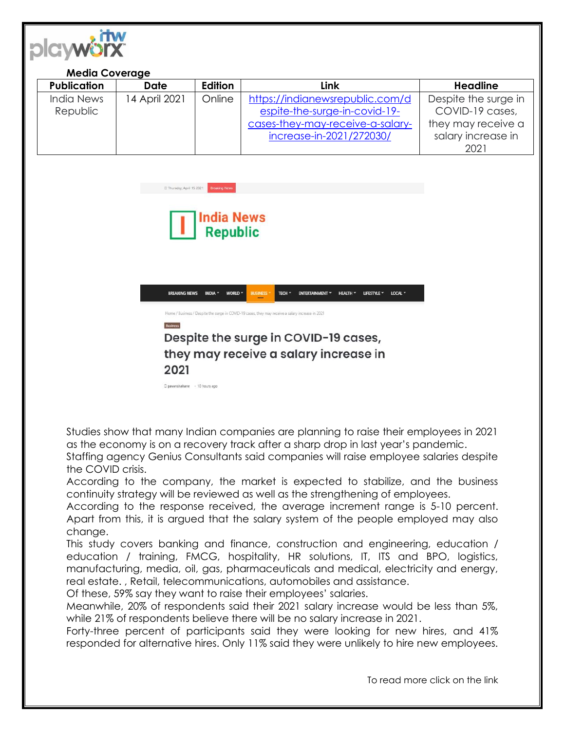

## **Media Coverage**

| <b>Publication</b> | Date          | Edition | Link                             | <b>Headline</b>      |
|--------------------|---------------|---------|----------------------------------|----------------------|
| India News         | 14 April 2021 | Online  | https://indianewsrepublic.com/d  | Despite the surge in |
| Republic           |               |         | espite-the-surge-in-covid-19-    | COVID-19 cases,      |
|                    |               |         | cases-they-may-receive-a-salary- | they may receive a   |
|                    |               |         | increase-in-2021/272030/         | salary increase in   |
|                    |               |         |                                  | 2021                 |





Studies show that many Indian companies are planning to raise their employees in 2021 as the economy is on a recovery track after a sharp drop in last year's pandemic.

Staffing agency Genius Consultants said companies will raise employee salaries despite the COVID crisis.

According to the company, the market is expected to stabilize, and the business continuity strategy will be reviewed as well as the strengthening of employees.

According to the response received, the average increment range is 5-10 percent. Apart from this, it is argued that the salary system of the people employed may also change.

This study covers banking and finance, construction and engineering, education / education / training, FMCG, hospitality, HR solutions, IT, ITS and BPO, logistics, manufacturing, media, oil, gas, pharmaceuticals and medical, electricity and energy, real estate. , Retail, telecommunications, automobiles and assistance.

Of these, 59% say they want to raise their employees' salaries.

Meanwhile, 20% of respondents said their 2021 salary increase would be less than 5%, while 21% of respondents believe there will be no salary increase in 2021.

Forty-three percent of participants said they were looking for new hires, and 41% responded for alternative hires. Only 11% said they were unlikely to hire new employees.

To read more click on the link